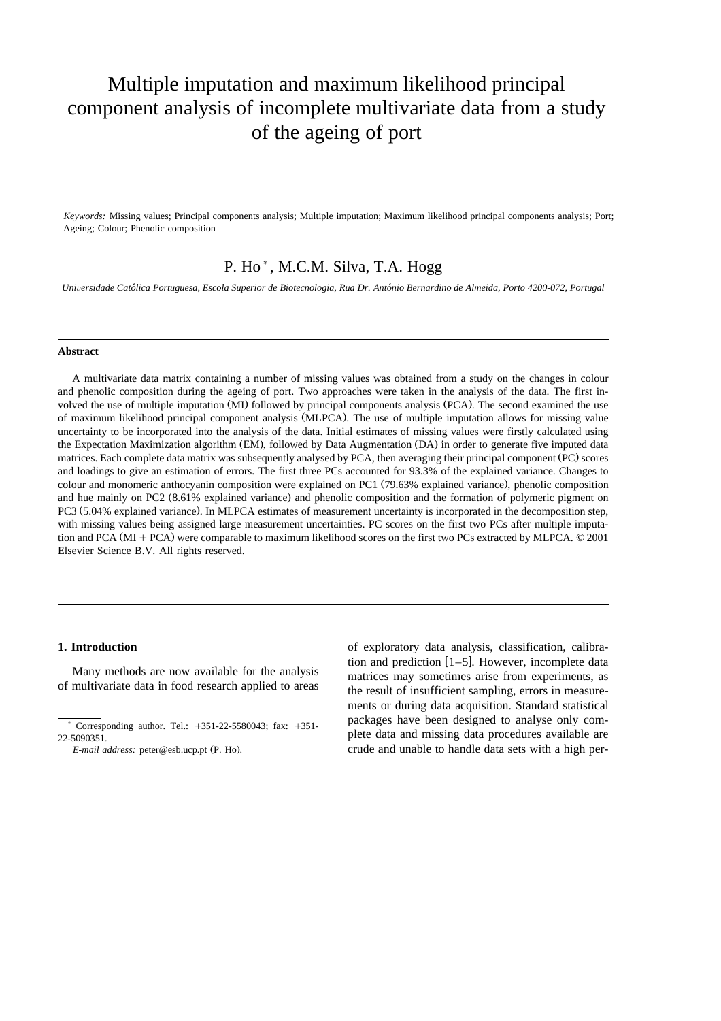# Multiple imputation and maximum likelihood principal component analysis of incomplete multivariate data from a study of the ageing of port

*Keywords:* Missing values; Principal components analysis; Multiple imputation; Maximum likelihood principal components analysis; Port; Ageing; Colour; Phenolic composition

# P. Ho<sup>\*</sup>, M.C.M. Silva, T.A. Hogg

*Uni*Õ*ersidade Catolica Portuguesa, Escola Superior de Biotecnologia, Rua Dr. Antonio Bernardino de Almeida, Porto 4200-072, Portugal* ´ ´

#### **Abstract**

A multivariate data matrix containing a number of missing values was obtained from a study on the changes in colour and phenolic composition during the ageing of port. Two approaches were taken in the analysis of the data. The first involved the use of multiple imputation (MI) followed by principal components analysis (PCA). The second examined the use of maximum likelihood principal component analysis (MLPCA). The use of multiple imputation allows for missing value uncertainty to be incorporated into the analysis of the data. Initial estimates of missing values were firstly calculated using the Expectation Maximization algorithm (EM), followed by Data Augmentation (DA) in order to generate five imputed data matrices. Each complete data matrix was subsequently analysed by PCA, then averaging their principal component (PC) scores and loadings to give an estimation of errors. The first three PCs accounted for 93.3% of the explained variance. Changes to colour and monomeric anthocyanin composition were explained on PC1 (79.63% explained variance), phenolic composition and hue mainly on PC2 (8.61% explained variance) and phenolic composition and the formation of polymeric pigment on PC3 (5.04% explained variance). In MLPCA estimates of measurement uncertainty is incorporated in the decomposition step, with missing values being assigned large measurement uncertainties. PC scores on the first two PCs after multiple imputation and PCA ( $MI + PCA$ ) were comparable to maximum likelihood scores on the first two PCs extracted by MLPCA.  $© 2001$ Elsevier Science B.V. All rights reserved.

# **1. Introduction**

Many methods are now available for the analysis of multivariate data in food research applied to areas of exploratory data analysis, classification, calibration and prediction  $[1–5]$ . However, incomplete data matrices may sometimes arise from experiments, as the result of insufficient sampling, errors in measurements or during data acquisition. Standard statistical packages have been designed to analyse only complete data and missing data procedures available are crude and unable to handle data sets with a high per-

Corresponding author. Tel.:  $+351-22-5580043$ ; fax:  $+351-$ 22-5090351.

*E-mail address:* peter@esb.ucp.pt (P. Ho).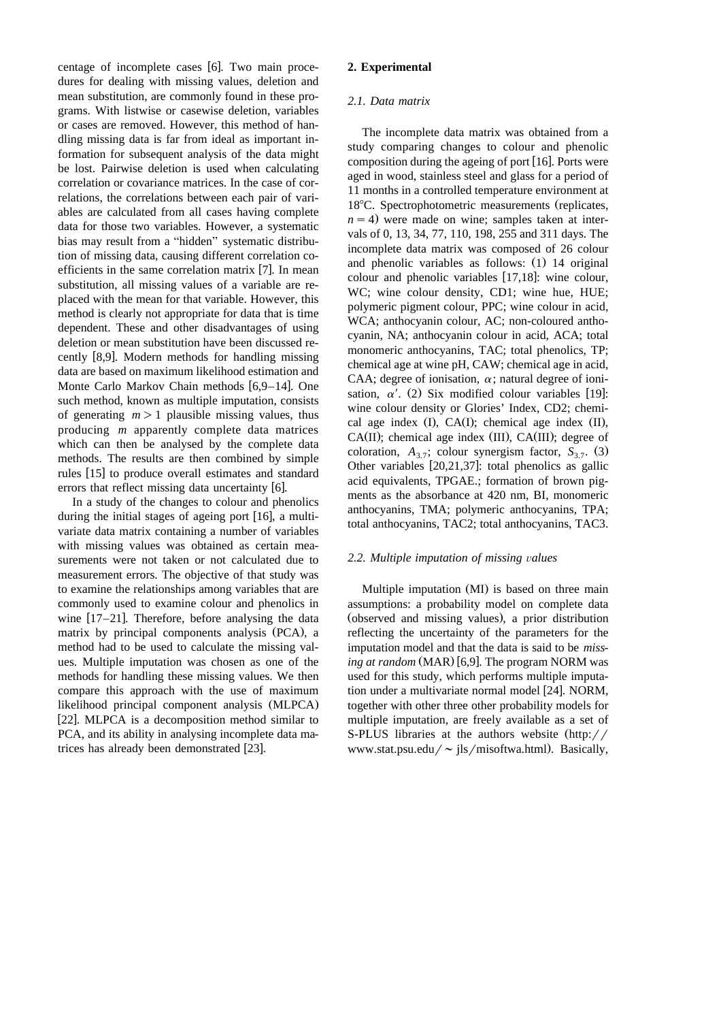centage of incomplete cases [6]. Two main procedures for dealing with missing values, deletion and mean substitution, are commonly found in these programs. With listwise or casewise deletion, variables or cases are removed. However, this method of handling missing data is far from ideal as important information for subsequent analysis of the data might be lost. Pairwise deletion is used when calculating correlation or covariance matrices. In the case of correlations, the correlations between each pair of variables are calculated from all cases having complete data for those two variables. However, a systematic bias may result from a "hidden" systematic distribution of missing data, causing different correlation coefficients in the same correlation matrix  $[7]$ . In mean substitution, all missing values of a variable are replaced with the mean for that variable. However, this method is clearly not appropriate for data that is time dependent. These and other disadvantages of using deletion or mean substitution have been discussed recently [8,9]. Modern methods for handling missing data are based on maximum likelihood estimation and Monte Carlo Markov Chain methods  $[6,9-14]$ . One such method, known as multiple imputation, consists of generating  $m > 1$  plausible missing values, thus producing *m* apparently complete data matrices which can then be analysed by the complete data methods. The results are then combined by simple rules [15] to produce overall estimates and standard errors that reflect missing data uncertainty [6].

In a study of the changes to colour and phenolics during the initial stages of ageing port  $[16]$ , a multivariate data matrix containing a number of variables with missing values was obtained as certain measurements were not taken or not calculated due to measurement errors. The objective of that study was to examine the relationships among variables that are commonly used to examine colour and phenolics in wine  $[17–21]$ . Therefore, before analysing the data matrix by principal components analysis (PCA), a method had to be used to calculate the missing values. Multiple imputation was chosen as one of the methods for handling these missing values. We then compare this approach with the use of maximum likelihood principal component analysis (MLPCA) [22]. MLPCA is a decomposition method similar to PCA, and its ability in analysing incomplete data matrices has already been demonstrated [23].

### **2. Experimental**

# *2.1. Data matrix*

The incomplete data matrix was obtained from a study comparing changes to colour and phenolic composition during the ageing of port  $[16]$ . Ports were aged in wood, stainless steel and glass for a period of 11 months in a controlled temperature environment at 18<sup>°</sup>C. Spectrophotometric measurements (replicates,  $n = 4$ ) were made on wine; samples taken at intervals of 0, 13, 34, 77, 110, 198, 255 and 311 days. The incomplete data matrix was composed of 26 colour and phenolic variables as follows: (1) 14 original colour and phenolic variables  $[17,18]$ : wine colour, WC; wine colour density, CD1; wine hue, HUE; polymeric pigment colour, PPC; wine colour in acid, WCA; anthocyanin colour, AC; non-coloured anthocyanin, NA; anthocyanin colour in acid, ACA; total monomeric anthocyanins, TAC; total phenolics, TP; chemical age at wine pH, CAW; chemical age in acid, CAA; degree of ionisation,  $\alpha$ ; natural degree of ionisation,  $\alpha'$ . (2) Six modified colour variables [19]: wine colour density or Glories' Index, CD2; chemical age index  $(I)$ , CA $(I)$ ; chemical age index  $(II)$ ,  $CA(II)$ ; chemical age index  $(III)$ ,  $CA(III)$ ; degree of coloration,  $A_{3,7}$ ; colour synergism factor,  $S_{3,7}$ . (3) Other variables  $[20,21,37]$ : total phenolics as gallic acid equivalents, TPGAE.; formation of brown pigments as the absorbance at 420 nm, BI, monomeric anthocyanins, TMA; polymeric anthocyanins, TPA; total anthocyanins, TAC2; total anthocyanins, TAC3.

#### *2.2. Multiple imputation of missing* Õ*alues*

Multiple imputation (MI) is based on three main assumptions: a probability model on complete data (observed and missing values), a prior distribution reflecting the uncertainty of the parameters for the imputation model and that the data is said to be *missing at random*  $(MAR)$  [6,9]. The program NORM was used for this study, which performs multiple imputation under a multivariate normal model [24]. NORM, together with other three other probability models for multiple imputation, are freely available as a set of S-PLUS libraries at the authors website  $\frac{http://r}{\cdot}$ www.stat.psu.edu/ $\sim$  jls/misoftwa.html). Basically,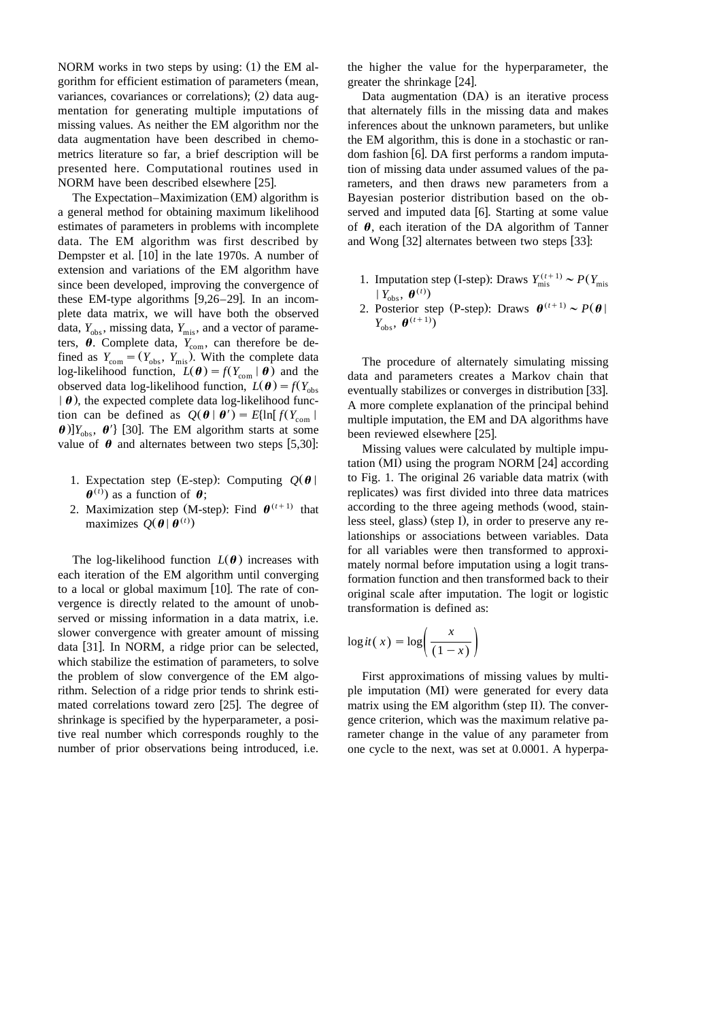NORM works in two steps by using:  $(1)$  the EM algorithm for efficient estimation of parameters (mean, variances, covariances or correlations); (2) data augmentation for generating multiple imputations of missing values. As neither the EM algorithm nor the data augmentation have been described in chemometrics literature so far, a brief description will be presented here. Computational routines used in NORM have been described elsewhere  $[25]$ .

The Expectation–Maximization (EM) algorithm is a general method for obtaining maximum likelihood estimates of parameters in problems with incomplete data. The EM algorithm was first described by Dempster et al.  $[10]$  in the late 1970s. A number of extension and variations of the EM algorithm have since been developed, improving the convergence of these EM-type algorithms  $[9,26-29]$ . In an incomplete data matrix, we will have both the observed data,  $Y_{\text{obs}}$ , missing data,  $Y_{\text{mis}}$ , and a vector of parameters,  $\theta$ . Complete data,  $Y_{\text{com}}$ , can therefore be defined as  $Y_{\text{com}} = (Y_{\text{obs}}, Y_{\text{mis}})$ . With the complete data log-likelihood function,  $L(\boldsymbol{\theta}) = f(Y_{\text{com}} | \boldsymbol{\theta})$  and the observed data log-likelihood function,  $L(\boldsymbol{\theta}) = f(Y_{obs})$  $\theta$ , the expected complete data log-likelihood function can be defined as  $Q(\theta | \theta') = E\{\ln[f(Y_{\text{com}})]\}$  $\theta$ )] $Y_{obs}$ ,  $\theta'$ } [30]. The EM algorithm starts at some value of  $\theta$  and alternates between two steps [5,30]:

- 1. Expectation step (E-step): Computing  $Q(\theta)$  $\theta$ <sup>(t)</sup>) as a function of  $\theta$ ;
- 2. Maximization step (M-step): Find  $\boldsymbol{\theta}^{(t+1)}$  that maximizes  $Q(\boldsymbol{\theta} | \boldsymbol{\theta}^{(t)})$

The log-likelihood function  $L(\theta)$  increases with each iteration of the EM algorithm until converging to a local or global maximum  $[10]$ . The rate of convergence is directly related to the amount of unobserved or missing information in a data matrix, i.e. slower convergence with greater amount of missing data  $[31]$ . In NORM, a ridge prior can be selected, which stabilize the estimation of parameters, to solve the problem of slow convergence of the EM algorithm. Selection of a ridge prior tends to shrink estimated correlations toward zero  $[25]$ . The degree of shrinkage is specified by the hyperparameter, a positive real number which corresponds roughly to the number of prior observations being introduced, i.e.

the higher the value for the hyperparameter, the greater the shrinkage [24].

Data augmentation (DA) is an iterative process that alternately fills in the missing data and makes inferences about the unknown parameters, but unlike the EM algorithm, this is done in a stochastic or random fashion  $[6]$ . DA first performs a random imputation of missing data under assumed values of the parameters, and then draws new parameters from a Bayesian posterior distribution based on the observed and imputed data [6]. Starting at some value of  $\theta$ , each iteration of the DA algorithm of Tanner and Wong  $[32]$  alternates between two steps  $[33]$ :

- 1. Imputation step (I-step): Draws  $Y_{\text{mis}}^{(t+1)} \sim P(Y_{\text{mis}} | Y_{\text{obs}}, \theta^{(t)})$
- 2. Posterior step (P-step): Draws  $\theta^{(t+1)} \sim P(\theta)$  $Y_{\text{obs}}$ ,  $\boldsymbol{\theta}^{(t+1)}$

The procedure of alternately simulating missing data and parameters creates a Markov chain that eventually stabilizes or converges in distribution [33]. A more complete explanation of the principal behind multiple imputation, the EM and DA algorithms have been reviewed elsewhere [25].

Missing values were calculated by multiple imputation (MI) using the program NORM  $[24]$  according to Fig. 1. The original  $26$  variable data matrix (with replicates) was first divided into three data matrices according to the three ageing methods (wood, stainless steel, glass) (step I), in order to preserve any relationships or associations between variables. Data for all variables were then transformed to approximately normal before imputation using a logit transformation function and then transformed back to their original scale after imputation. The logit or logistic transformation is defined as:

$$
\log it(x) = \log \left( \frac{x}{(1-x)} \right)
$$

First approximations of missing values by multiple imputation (MI) were generated for every data matrix using the EM algorithm (step II). The convergence criterion, which was the maximum relative parameter change in the value of any parameter from one cycle to the next, was set at 0.0001. A hyperpa-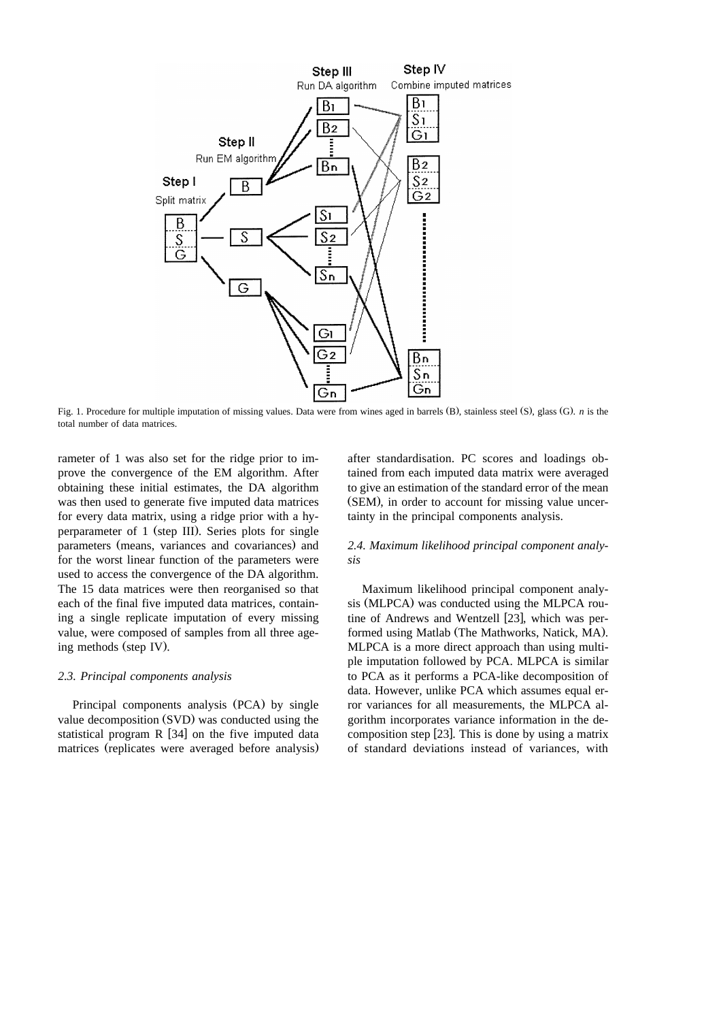

Fig. 1. Procedure for multiple imputation of missing values. Data were from wines aged in barrels (B), stainless steel (S), glass (G), n is the total number of data matrices.

rameter of 1 was also set for the ridge prior to improve the convergence of the EM algorithm. After obtaining these initial estimates, the DA algorithm was then used to generate five imputed data matrices for every data matrix, using a ridge prior with a hyperparameter of 1 (step III). Series plots for single parameters (means, variances and covariances) and for the worst linear function of the parameters were used to access the convergence of the DA algorithm. The 15 data matrices were then reorganised so that each of the final five imputed data matrices, containing a single replicate imputation of every missing value, were composed of samples from all three ageing methods (step IV).

#### *2.3. Principal components analysis*

Principal components analysis (PCA) by single value decomposition (SVD) was conducted using the statistical program  $R$  [34] on the five imputed data matrices (replicates were averaged before analysis) after standardisation. PC scores and loadings obtained from each imputed data matrix were averaged to give an estimation of the standard error of the mean (SEM), in order to account for missing value uncertainty in the principal components analysis.

# *2.4. Maximum likelihood principal component analysis*

Maximum likelihood principal component analysis (MLPCA) was conducted using the MLPCA routine of Andrews and Wentzell [23], which was performed using Matlab (The Mathworks, Natick, MA). MLPCA is a more direct approach than using multiple imputation followed by PCA. MLPCA is similar to PCA as it performs a PCA-like decomposition of data. However, unlike PCA which assumes equal error variances for all measurements, the MLPCA algorithm incorporates variance information in the decomposition step  $[23]$ . This is done by using a matrix of standard deviations instead of variances, with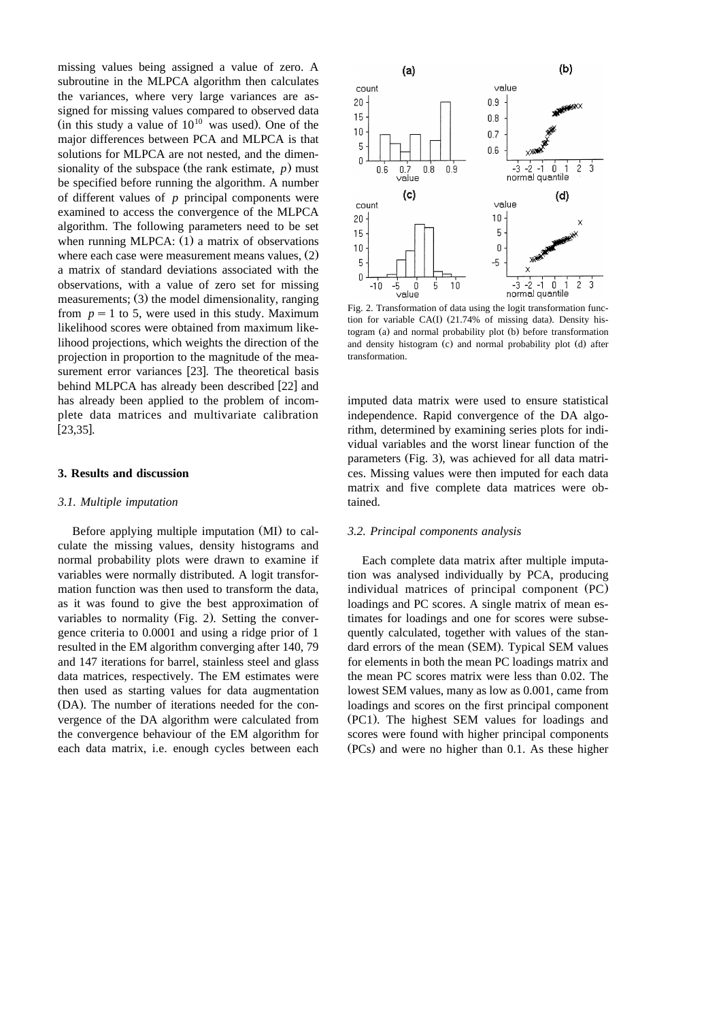missing values being assigned a value of zero. A subroutine in the MLPCA algorithm then calculates the variances, where very large variances are assigned for missing values compared to observed data (in this study a value of  $10^{10}$  was used). One of the major differences between PCA and MLPCA is that solutions for MLPCA are not nested, and the dimensionality of the subspace (the rank estimate,  $p$ ) must be specified before running the algorithm. A number of different values of *p* principal components were examined to access the convergence of the MLPCA algorithm. The following parameters need to be set when running MLPCA:  $(1)$  a matrix of observations where each case were measurement means values,  $(2)$ a matrix of standard deviations associated with the observations, with a value of zero set for missing measurements;  $(3)$  the model dimensionality, ranging from  $p = 1$  to 5, were used in this study. Maximum likelihood scores were obtained from maximum likelihood projections, which weights the direction of the projection in proportion to the magnitude of the measurement error variances [23]. The theoretical basis behind MLPCA has already been described [22] and has already been applied to the problem of incomplete data matrices and multivariate calibration  $[23, 35]$ .

# **3. Results and discussion**

#### *3.1. Multiple imputation*

Before applying multiple imputation (MI) to calculate the missing values, density histograms and normal probability plots were drawn to examine if variables were normally distributed. A logit transformation function was then used to transform the data, as it was found to give the best approximation of variables to normality (Fig. 2). Setting the convergence criteria to 0.0001 and using a ridge prior of 1 resulted in the EM algorithm converging after 140, 79 and 147 iterations for barrel, stainless steel and glass data matrices, respectively. The EM estimates were then used as starting values for data augmentation (DA). The number of iterations needed for the convergence of the DA algorithm were calculated from the convergence behaviour of the EM algorithm for each data matrix, i.e. enough cycles between each



Fig. 2. Transformation of data using the logit transformation function for variable CA(I)  $(21.74\%$  of missing data). Density histogram  $(a)$  and normal probability plot  $(b)$  before transformation and density histogram (c) and normal probability plot (d) after transformation.

imputed data matrix were used to ensure statistical independence. Rapid convergence of the DA algorithm, determined by examining series plots for individual variables and the worst linear function of the parameters (Fig. 3), was achieved for all data matrices. Missing values were then imputed for each data matrix and five complete data matrices were obtained.

#### *3.2. Principal components analysis*

Each complete data matrix after multiple imputation was analysed individually by PCA, producing individual matrices of principal component (PC). loadings and PC scores. A single matrix of mean estimates for loadings and one for scores were subsequently calculated, together with values of the standard errors of the mean (SEM). Typical SEM values for elements in both the mean PC loadings matrix and the mean PC scores matrix were less than 0.02. The lowest SEM values, many as low as 0.001, came from loadings and scores on the first principal component (PC1). The highest SEM values for loadings and scores were found with higher principal components  $(PCs)$  and were no higher than 0.1. As these higher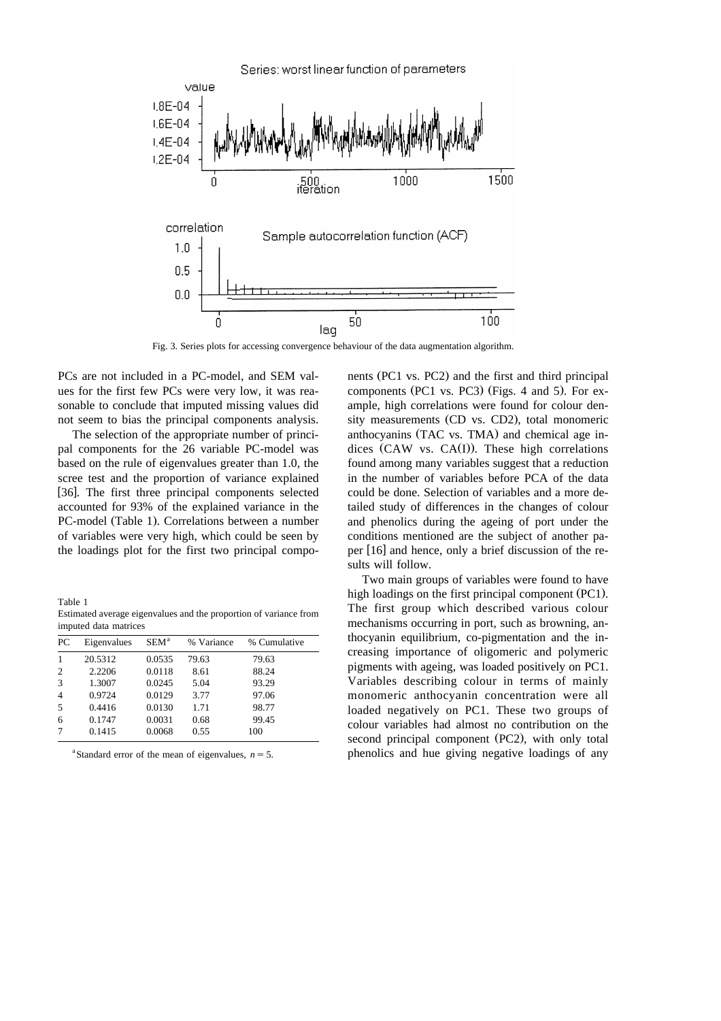

Fig. 3. Series plots for accessing convergence behaviour of the data augmentation algorithm.

PCs are not included in a PC-model, and SEM values for the first few PCs were very low, it was reasonable to conclude that imputed missing values did not seem to bias the principal components analysis.

The selection of the appropriate number of principal components for the 26 variable PC-model was based on the rule of eigenvalues greater than 1.0, the scree test and the proportion of variance explained [36]. The first three principal components selected accounted for 93% of the explained variance in the PC-model (Table 1). Correlations between a number of variables were very high, which could be seen by the loadings plot for the first two principal compo-

Table 1 Estimated average eigenvalues and the proportion of variance from imputed data matrices

| PC             | Eigenvalues | SEM <sup>a</sup> | % Variance | % Cumulative |  |
|----------------|-------------|------------------|------------|--------------|--|
| -1             | 20.5312     | 0.0535           | 79.63      | 79.63        |  |
| 2              | 2.2206      | 0.0118           | 8.61       | 88.24        |  |
| 3              | 1.3007      | 0.0245           | 5.04       | 93.29        |  |
| $\overline{4}$ | 0.9724      | 0.0129           | 3.77       | 97.06        |  |
| 5              | 0.4416      | 0.0130           | 1.71       | 98.77        |  |
| 6              | 0.1747      | 0.0031           | 0.68       | 99.45        |  |
| 7              | 0.1415      | 0.0068           | 0.55       | 100          |  |
|                |             |                  |            |              |  |

<sup>a</sup>Standard error of the mean of eigenvalues,  $n = 5$ .

nents (PC1 vs. PC2) and the first and third principal components (PC1 vs. PC3) (Figs. 4 and 5). For example, high correlations were found for colour density measurements (CD vs. CD2), total monomeric anthocyanins (TAC vs. TMA) and chemical age indices (CAW vs.  $CA(I)$ ). These high correlations found among many variables suggest that a reduction in the number of variables before PCA of the data could be done. Selection of variables and a more detailed study of differences in the changes of colour and phenolics during the ageing of port under the conditions mentioned are the subject of another paper  $[16]$  and hence, only a brief discussion of the results will follow.

Two main groups of variables were found to have high loadings on the first principal component (PC1). The first group which described various colour mechanisms occurring in port, such as browning, anthocyanin equilibrium, co-pigmentation and the increasing importance of oligomeric and polymeric pigments with ageing, was loaded positively on PC1. Variables describing colour in terms of mainly monomeric anthocyanin concentration were all loaded negatively on PC1. These two groups of colour variables had almost no contribution on the second principal component (PC2), with only total phenolics and hue giving negative loadings of any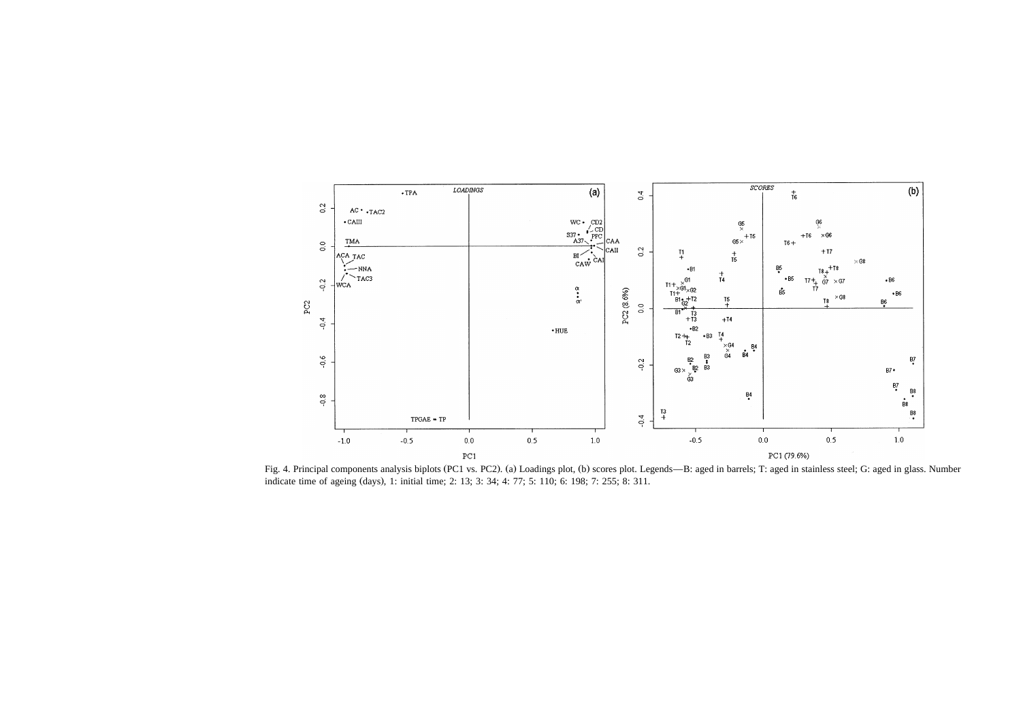

Fig. 4. Principal components analysis biplots (PC1 vs. PC2). (a) Loadings plot, (b) scores plot. Legends—B: aged in barrels; T: aged in stainless steel; G: aged in glass. Number indicate time of ageing (days), 1: initial time; 2: 13; 3: 34; 4: 77; 5: 110; 6: 198; 7: 255; 8: 311.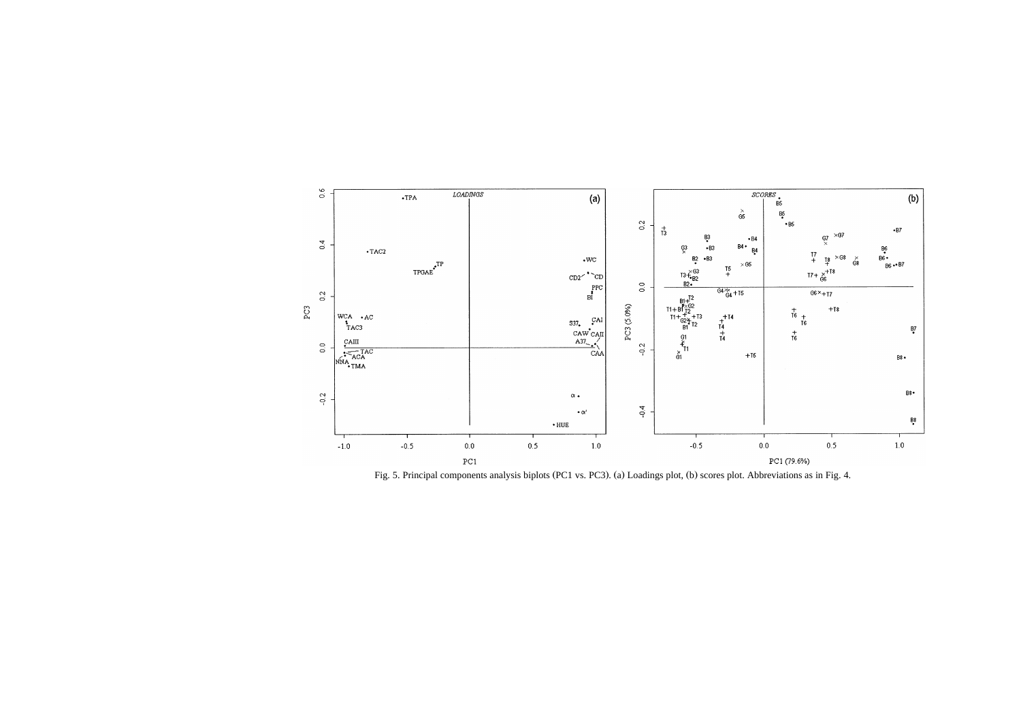

Fig. 5. Principal components analysis biplots (PC1 vs. PC3). (a) Loadings plot, (b) scores plot. Abbreviations as in Fig. 4.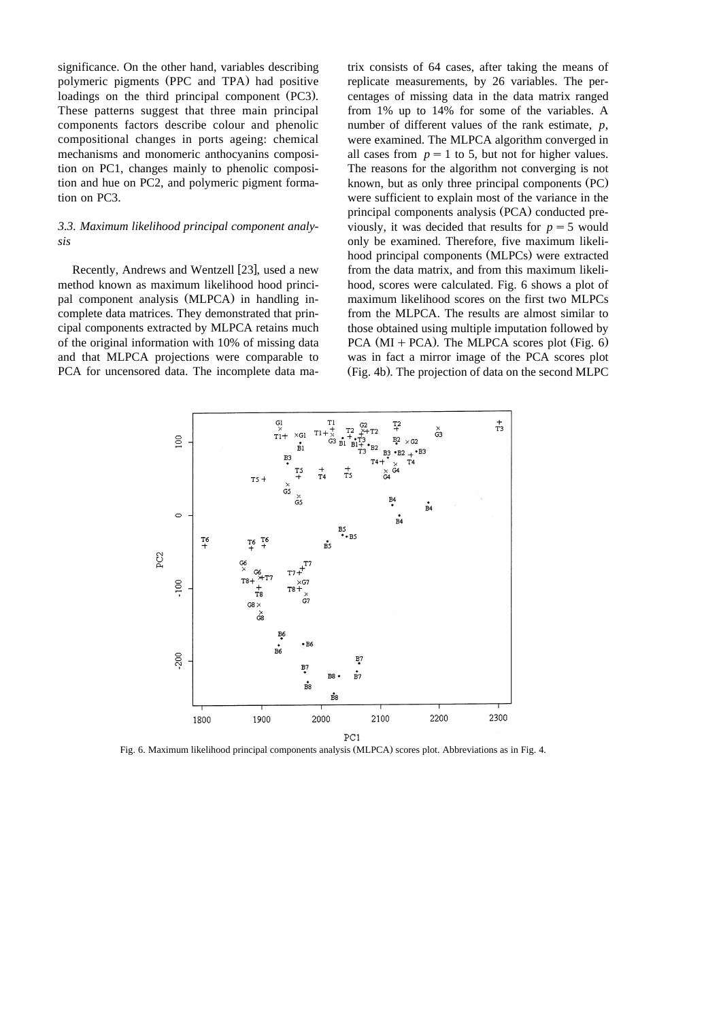significance. On the other hand, variables describing polymeric pigments (PPC and TPA) had positive loadings on the third principal component (PC3). These patterns suggest that three main principal components factors describe colour and phenolic compositional changes in ports ageing: chemical mechanisms and monomeric anthocyanins composition on PC1, changes mainly to phenolic composition and hue on PC2, and polymeric pigment formation on PC3.

# *3.3. Maximum likelihood principal component analysis*

Recently, Andrews and Wentzell [23], used a new method known as maximum likelihood hood principal component analysis (MLPCA) in handling incomplete data matrices. They demonstrated that principal components extracted by MLPCA retains much of the original information with 10% of missing data and that MLPCA projections were comparable to PCA for uncensored data. The incomplete data ma-

trix consists of 64 cases, after taking the means of replicate measurements, by 26 variables. The percentages of missing data in the data matrix ranged from 1% up to 14% for some of the variables. A number of different values of the rank estimate, *p*, were examined. The MLPCA algorithm converged in all cases from  $p = 1$  to 5, but not for higher values. The reasons for the algorithm not converging is not known, but as only three principal components (PC). were sufficient to explain most of the variance in the principal components analysis (PCA) conducted previously, it was decided that results for  $p = 5$  would only be examined. Therefore, five maximum likelihood principal components (MLPCs) were extracted from the data matrix, and from this maximum likelihood, scores were calculated. Fig. 6 shows a plot of maximum likelihood scores on the first two MLPCs from the MLPCA. The results are almost similar to those obtained using multiple imputation followed by  $PCA (MI + PCA)$ . The MLPCA scores plot (Fig. 6) was in fact a mirror image of the PCA scores plot (Fig. 4b). The projection of data on the second MLPC



Fig. 6. Maximum likelihood principal components analysis (MLPCA) scores plot. Abbreviations as in Fig. 4.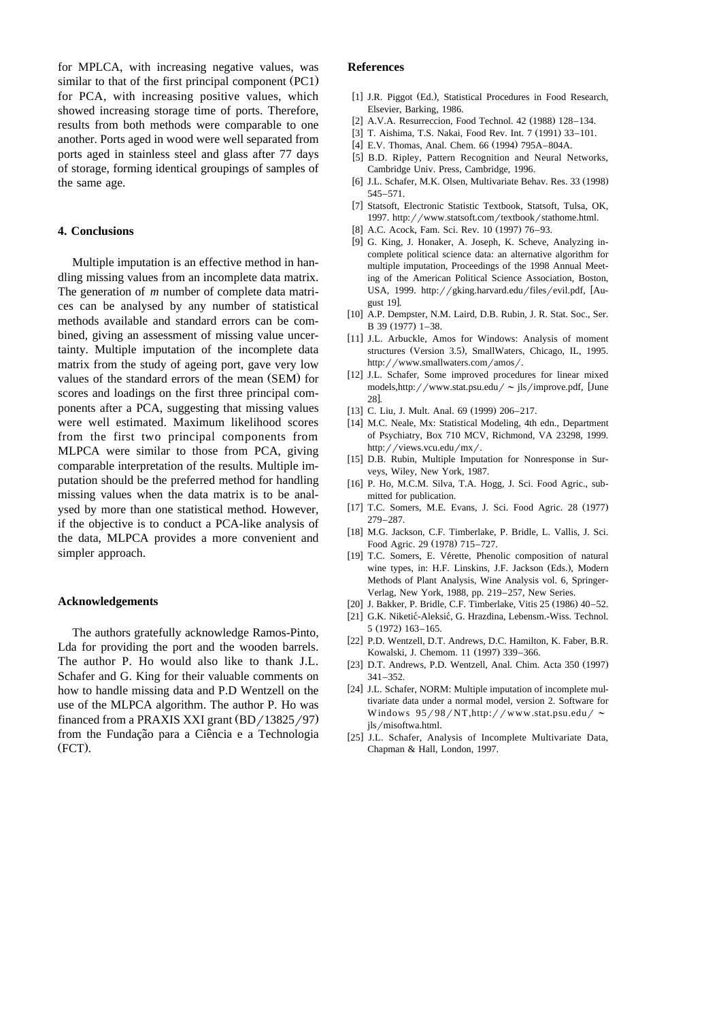for MPLCA, with increasing negative values, was similar to that of the first principal component  $(PC1)$ for PCA, with increasing positive values, which showed increasing storage time of ports. Therefore, results from both methods were comparable to one another. Ports aged in wood were well separated from ports aged in stainless steel and glass after 77 days of storage, forming identical groupings of samples of the same age.

# **4. Conclusions**

Multiple imputation is an effective method in handling missing values from an incomplete data matrix. The generation of *m* number of complete data matrices can be analysed by any number of statistical methods available and standard errors can be combined, giving an assessment of missing value uncertainty. Multiple imputation of the incomplete data matrix from the study of ageing port, gave very low values of the standard errors of the mean (SEM) for scores and loadings on the first three principal components after a PCA, suggesting that missing values were well estimated. Maximum likelihood scores from the first two principal components from MLPCA were similar to those from PCA, giving comparable interpretation of the results. Multiple imputation should be the preferred method for handling missing values when the data matrix is to be analysed by more than one statistical method. However, if the objective is to conduct a PCA-like analysis of the data, MLPCA provides a more convenient and simpler approach.

#### **Acknowledgements**

The authors gratefully acknowledge Ramos-Pinto, Lda for providing the port and the wooden barrels. The author P. Ho would also like to thank J.L. Schafer and G. King for their valuable comments on how to handle missing data and P.D Wentzell on the use of the MLPCA algorithm. The author P. Ho was financed from a PRAXIS XXI grant  $(BD/13825/97)$ from the Fundação para a Ciência e a Technologia  $(FCT)$ .

## **References**

- [1] J.R. Piggot (Ed.), Statistical Procedures in Food Research, Elsevier, Barking, 1986.
- [2] A.V.A. Resurreccion, Food Technol. 42 (1988) 128-134.
- [3] T. Aishima, T.S. Nakai, Food Rev. Int. 7 (1991) 33-101.
- [4] E.V. Thomas, Anal. Chem. 66 (1994) 795A-804A.
- [5] B.D. Ripley, Pattern Recognition and Neural Networks, Cambridge Univ. Press, Cambridge, 1996.
- [6] J.L. Schafer, M.K. Olsen, Multivariate Behav. Res. 33 (1998) 545–571.
- [7] Statsoft, Electronic Statistic Textbook, Statsoft, Tulsa, OK, 1997. http://www.statsoft.com/textbook/stathome.html.
- [8] A.C. Acock, Fam. Sci. Rev. 10 (1997) 76–93.
- [9] G. King, J. Honaker, A. Joseph, K. Scheve, Analyzing incomplete political science data: an alternative algorithm for multiple imputation, Proceedings of the 1998 Annual Meeting of the American Political Science Association, Boston, USA, 1999. http://gking.harvard.edu/files/evil.pdf, [August 19].
- [10] A.P. Dempster, N.M. Laird, D.B. Rubin, J. R. Stat. Soc., Ser. B 39  $(1977)$  1–38.
- [11] J.L. Arbuckle, Amos for Windows: Analysis of moment structures (Version 3.5), SmallWaters, Chicago, IL, 1995. http://www.smallwaters.com/amos/.
- [12] J.L. Schafer, Some improved procedures for linear mixed models,http://www.stat.psu.edu/  $\sim$  jls/improve.pdf, [June  $28$ ].
- [13] C. Liu, J. Mult. Anal. 69 (1999) 206-217.
- [14] M.C. Neale, Mx: Statistical Modeling, 4th edn., Department of Psychiatry, Box 710 MCV, Richmond, VA 23298, 1999. http://views.vcu.edu/mx/.
- [15] D.B. Rubin, Multiple Imputation for Nonresponse in Surveys, Wiley, New York, 1987.
- [16] P. Ho, M.C.M. Silva, T.A. Hogg, J. Sci. Food Agric., submitted for publication.
- [17] T.C. Somers, M.E. Evans, J. Sci. Food Agric. 28 (1977) 279–287.
- [18] M.G. Jackson, C.F. Timberlake, P. Bridle, L. Vallis, J. Sci. Food Agric. 29 (1978) 715-727.
- [19] T.C. Somers, E. Vérette, Phenolic composition of natural wine types, in: H.F. Linskins, J.F. Jackson (Eds.), Modern Methods of Plant Analysis, Wine Analysis vol. 6, Springer-Verlag, New York, 1988, pp. 219–257, New Series.
- [20] J. Bakker, P. Bridle, C.F. Timberlake, Vitis 25 (1986) 40-52.
- [21] G.K. Niketić-Aleksić, G. Hrazdina, Lebensm.-Wiss. Technol. 5 (1972) 163-165.
- [22] P.D. Wentzell, D.T. Andrews, D.C. Hamilton, K. Faber, B.R. Kowalski, J. Chemom. 11 (1997) 339-366.
- [23] D.T. Andrews, P.D. Wentzell, Anal. Chim. Acta 350 (1997) 341–352.
- [24] J.L. Schafer, NORM: Multiple imputation of incomplete multivariate data under a normal model, version 2. Software for Windows  $95/98/NT$ ,http://www.stat.psu.edu/ ~ jls/misoftwa.html.
- [25] J.L. Schafer, Analysis of Incomplete Multivariate Data, Chapman & Hall, London, 1997.